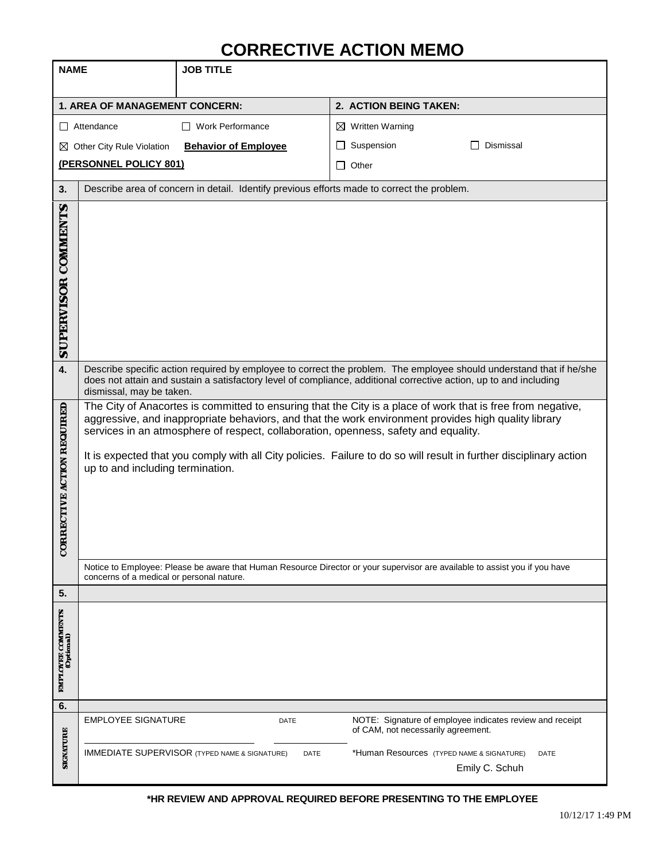## **CORRECTIVE ACTION MEMO**

| <b>NAME</b>                           |                                                                                                                                                                                                                                                                                                                                                                                                                                                                                                                                                                                                                                                  | <b>JOB TITLE</b>                                                        |                                                                                                                     |
|---------------------------------------|--------------------------------------------------------------------------------------------------------------------------------------------------------------------------------------------------------------------------------------------------------------------------------------------------------------------------------------------------------------------------------------------------------------------------------------------------------------------------------------------------------------------------------------------------------------------------------------------------------------------------------------------------|-------------------------------------------------------------------------|---------------------------------------------------------------------------------------------------------------------|
|                                       |                                                                                                                                                                                                                                                                                                                                                                                                                                                                                                                                                                                                                                                  |                                                                         | 2. ACTION BEING TAKEN:                                                                                              |
| 1. AREA OF MANAGEMENT CONCERN:        |                                                                                                                                                                                                                                                                                                                                                                                                                                                                                                                                                                                                                                                  | □ Work Performance                                                      |                                                                                                                     |
| $\Box$ Attendance                     |                                                                                                                                                                                                                                                                                                                                                                                                                                                                                                                                                                                                                                                  |                                                                         | $\boxtimes$ Written Warning<br>Suspension<br>Dismissal<br>$\mathsf{L}$                                              |
| ⊠ Other City Rule Violation           |                                                                                                                                                                                                                                                                                                                                                                                                                                                                                                                                                                                                                                                  | <b>Behavior of Employee</b>                                             |                                                                                                                     |
| (PERSONNEL POLICY 801)                |                                                                                                                                                                                                                                                                                                                                                                                                                                                                                                                                                                                                                                                  |                                                                         | Other<br>$\mathsf{L}$                                                                                               |
| 3.                                    | Describe area of concern in detail. Identify previous efforts made to correct the problem.                                                                                                                                                                                                                                                                                                                                                                                                                                                                                                                                                       |                                                                         |                                                                                                                     |
| SUPERVISOR COMMENTS<br>4.             |                                                                                                                                                                                                                                                                                                                                                                                                                                                                                                                                                                                                                                                  |                                                                         | Describe specific action required by employee to correct the problem. The employee should understand that if he/she |
|                                       | does not attain and sustain a satisfactory level of compliance, additional corrective action, up to and including<br>dismissal, may be taken.                                                                                                                                                                                                                                                                                                                                                                                                                                                                                                    |                                                                         |                                                                                                                     |
| <b>JRRECTIVE ACTION REQUIRED</b><br>ರ | The City of Anacortes is committed to ensuring that the City is a place of work that is free from negative,<br>aggressive, and inappropriate behaviors, and that the work environment provides high quality library<br>services in an atmosphere of respect, collaboration, openness, safety and equality.<br>It is expected that you comply with all City policies. Failure to do so will result in further disciplinary action<br>up to and including termination.<br>Notice to Employee: Please be aware that Human Resource Director or your supervisor are available to assist you if you have<br>concerns of a medical or personal nature. |                                                                         |                                                                                                                     |
| 5.                                    |                                                                                                                                                                                                                                                                                                                                                                                                                                                                                                                                                                                                                                                  |                                                                         |                                                                                                                     |
| EMPLOYEE COMMENTS<br>(Optional)       |                                                                                                                                                                                                                                                                                                                                                                                                                                                                                                                                                                                                                                                  |                                                                         |                                                                                                                     |
| 6.                                    |                                                                                                                                                                                                                                                                                                                                                                                                                                                                                                                                                                                                                                                  |                                                                         |                                                                                                                     |
| <b>SIGNATURE</b>                      | <b>EMPLOYEE SIGNATURE</b>                                                                                                                                                                                                                                                                                                                                                                                                                                                                                                                                                                                                                        | DATE                                                                    | NOTE: Signature of employee indicates review and receipt<br>of CAM, not necessarily agreement.                      |
|                                       |                                                                                                                                                                                                                                                                                                                                                                                                                                                                                                                                                                                                                                                  | <b>IMMEDIATE SUPERVISOR (TYPED NAME &amp; SIGNATURE)</b><br><b>DATE</b> | *Human Resources (TYPED NAME & SIGNATURE)<br>DATE<br>Emily C. Schuh                                                 |